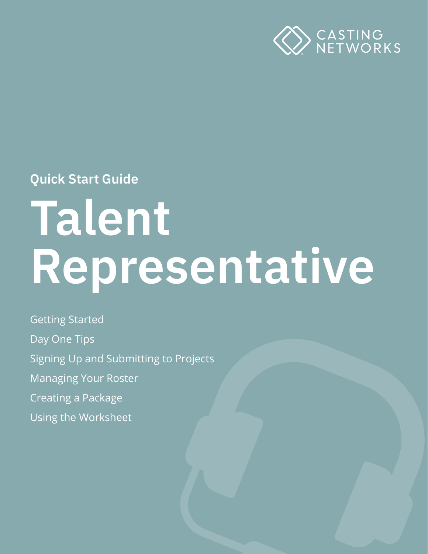

**Quick Start Guide**

# **Talent Representative**

Getting Started Day One Tips Signing Up and Submitting to Projects Managing Your Roster Creating a Package Using the Worksheet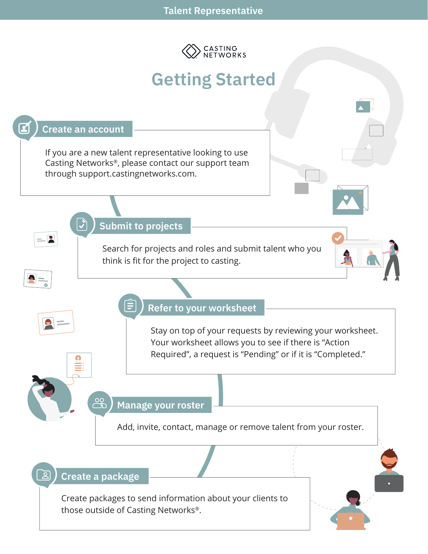

# **Getting Started**

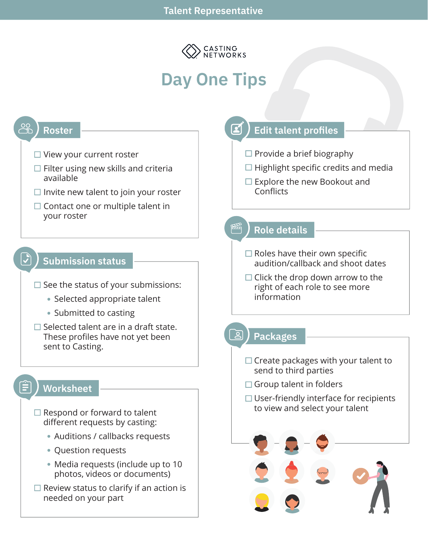

# **Day One Tips**

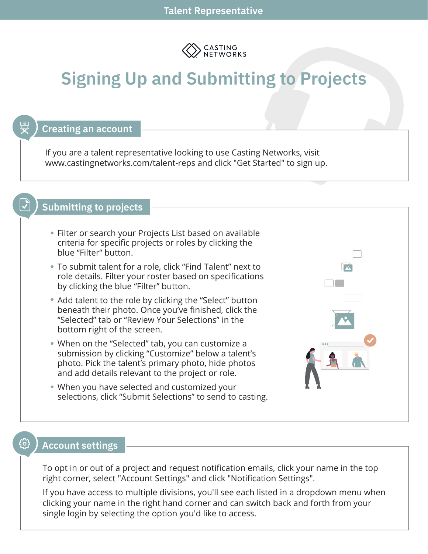

# **Signing Up and Submitting to Projects**

#### **Creating an account**

If you are a talent representative looking to use Casting Networks, visit www.castingnetworks.com/talent-reps and click "Get Started" to sign up.

## **Submitting to projects**

- Filter or search your Projects List based on available criteria for specific projects or roles by clicking the blue "Filter" button.
- To submit talent for a role, click "Find Talent" next to role details. Filter your roster based on specifications by clicking the blue "Filter" button.
- Add talent to the role by clicking the "Select" button beneath their photo. Once you've finished, click the "Selected" tab or "Review Your Selections" in the bottom right of the screen.
- When on the "Selected" tab, you can customize a submission by clicking "Customize" below a talent's photo. Pick the talent's primary photo, hide photos and add details relevant to the project or role.
- When you have selected and customized your selections, click "Submit Selections" to send to casting.



#### **Account settings**

ᢊᢅᢒ᠍᠌᠌

To opt in or out of a project and request notification emails, click your name in the top right corner, select "Account Settings" and click "Notification Settings".

If you have access to multiple divisions, you'll see each listed in a dropdown menu when clicking your name in the right hand corner and can switch back and forth from your single login by selecting the option you'd like to access.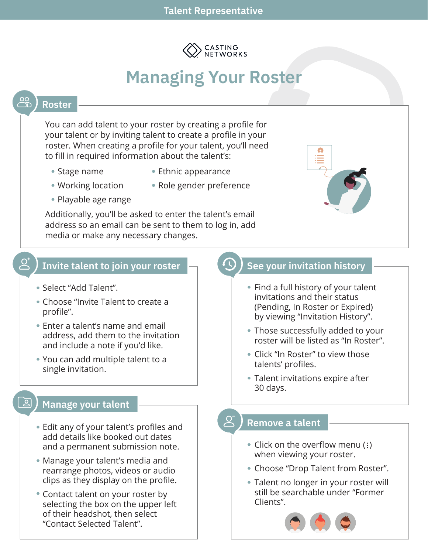

# **Managing Your Roster**

#### **Roster**

You can add talent to your roster by creating a profile for your talent or by inviting talent to create a profile in your roster. When creating a profile for your talent, you'll need to fill in required information about the talent's:

- Stage name
- Ethnic appearance
- Working location
- Role gender preference
- Playable age range

Additionally, you'll be asked to enter the talent's email address so an email can be sent to them to log in, add media or make any necessary changes.



#### **Invite talent to join your roster**

- Select "Add Talent".
- Choose "Invite Talent to create a profile".
- Enter a talent's name and email address, add them to the invitation and include a note if you'd like.
- You can add multiple talent to a single invitation.

#### **Manage your talent**

- Edit any of your talent's profiles and add details like booked out dates and a permanent submission note.
- Manage your talent's media and rearrange photos, videos or audio clips as they display on the profile.
- Contact talent on your roster by selecting the box on the upper left of their headshot, then select "Contact Selected Talent".

## **See your invitation history**

- Find a full history of your talent invitations and their status (Pending, In Roster or Expired) by viewing "Invitation History".
- Those successfully added to your roster will be listed as "In Roster".
- Click "In Roster" to view those talents' profiles.
- Talent invitations expire after 30 days.

#### $\overline{Q}$ **Remove a talent**

- Click on the overflow menu (:) when viewing your roster.
- Choose "Drop Talent from Roster".
- Talent no longer in your roster will still be searchable under "Former Clients".

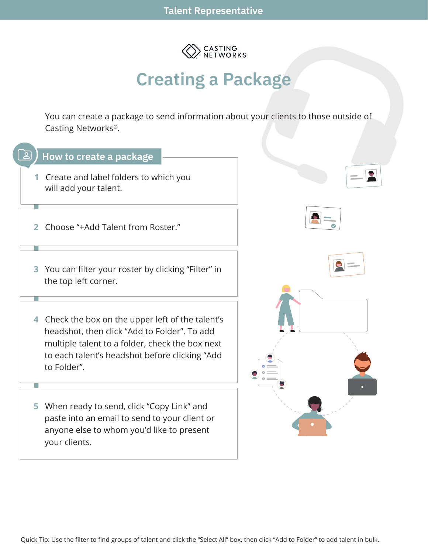

## **Creating a Package**

You can create a package to send information about your clients to those outside of Casting Networks®.